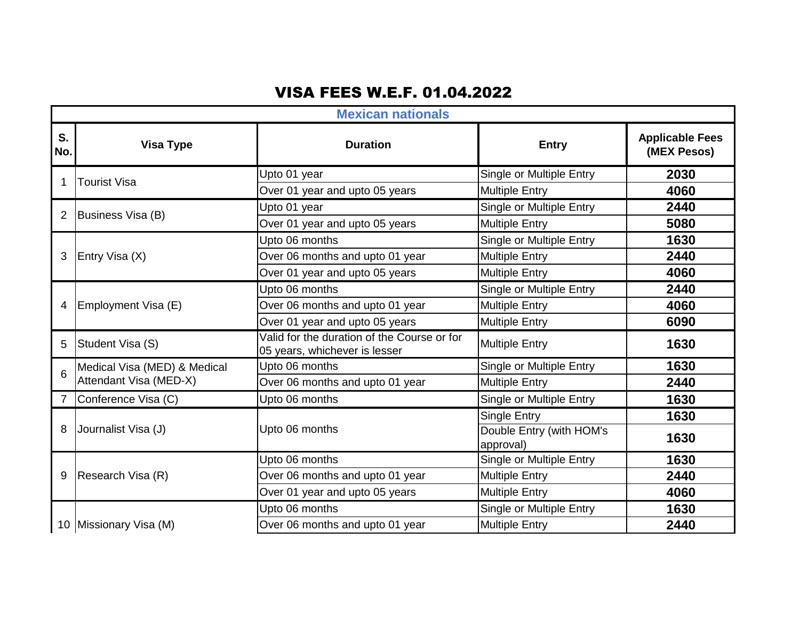## VISA FEES W.E.F. 01.04.2022

|           | <b>Mexican nationals</b>     |                                                                              |                                       |                                       |  |
|-----------|------------------------------|------------------------------------------------------------------------------|---------------------------------------|---------------------------------------|--|
| S.<br>No. | <b>Visa Type</b>             | <b>Duration</b>                                                              | <b>Entry</b>                          | <b>Applicable Fees</b><br>(MEX Pesos) |  |
|           | <b>Tourist Visa</b>          | Upto 01 year                                                                 | Single or Multiple Entry              | 2030                                  |  |
|           |                              | Over 01 year and upto 05 years                                               | <b>Multiple Entry</b>                 | 4060                                  |  |
| 2         | Business Visa (B)            | Upto 01 year                                                                 | Single or Multiple Entry              | 2440                                  |  |
|           |                              | Over 01 year and upto 05 years                                               | <b>Multiple Entry</b>                 | 5080                                  |  |
|           |                              | Upto 06 months                                                               | Single or Multiple Entry              | 1630                                  |  |
| 3         | Entry Visa (X)               | Over 06 months and upto 01 year                                              | <b>Multiple Entry</b>                 | 2440                                  |  |
|           |                              | Over 01 year and upto 05 years                                               | <b>Multiple Entry</b>                 | 4060                                  |  |
|           | Employment Visa (E)          | Upto 06 months                                                               | Single or Multiple Entry              | 2440                                  |  |
| 4         |                              | Over 06 months and upto 01 year                                              | <b>Multiple Entry</b>                 | 4060                                  |  |
|           |                              | Over 01 year and upto 05 years                                               | <b>Multiple Entry</b>                 | 6090                                  |  |
| 5         | Student Visa (S)             | Valid for the duration of the Course or for<br>05 years, whichever is lesser | <b>Multiple Entry</b>                 | 1630                                  |  |
| 6         | Medical Visa (MED) & Medical | Upto 06 months                                                               | Single or Multiple Entry              | 1630                                  |  |
|           | Attendant Visa (MED-X)       | Over 06 months and upto 01 year                                              | <b>Multiple Entry</b>                 | 2440                                  |  |
|           | Conference Visa (C)          | Upto 06 months                                                               | Single or Multiple Entry              | 1630                                  |  |
|           |                              |                                                                              | <b>Single Entry</b>                   | 1630                                  |  |
| 8         | Journalist Visa (J)          | Upto 06 months                                                               | Double Entry (with HOM's<br>approval) | 1630                                  |  |
|           |                              | Upto 06 months                                                               | Single or Multiple Entry              | 1630                                  |  |
| 9         | Research Visa (R)            | Over 06 months and upto 01 year                                              | <b>Multiple Entry</b>                 | 2440                                  |  |
|           |                              | Over 01 year and upto 05 years                                               | <b>Multiple Entry</b>                 | 4060                                  |  |
|           |                              | Upto 06 months                                                               | Single or Multiple Entry              | 1630                                  |  |
|           | 10 Missionary Visa (M)       | Over 06 months and upto 01 year                                              | <b>Multiple Entry</b>                 | 2440                                  |  |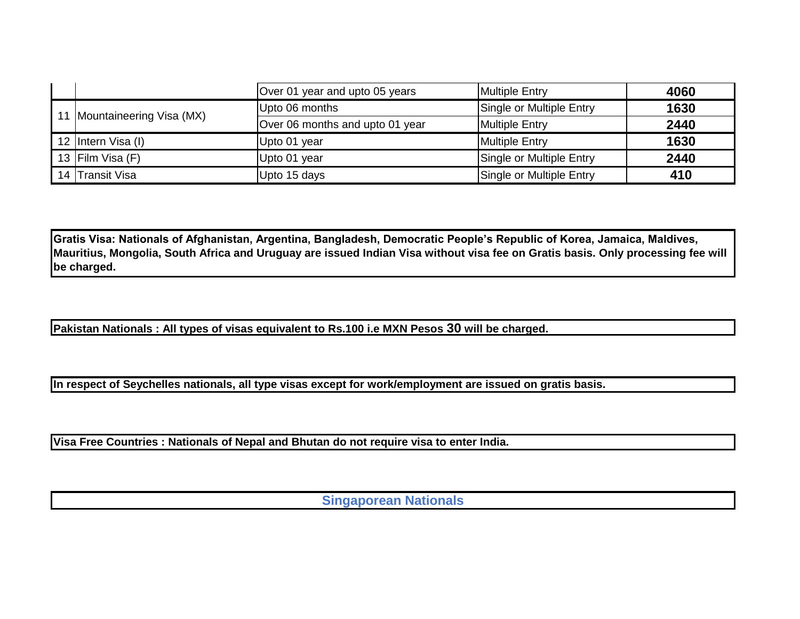|  |                             | Over 01 year and upto 05 years  | <b>Multiple Entry</b>    | 4060 |
|--|-----------------------------|---------------------------------|--------------------------|------|
|  | 11 Mountaineering Visa (MX) | Upto 06 months                  | Single or Multiple Entry | 1630 |
|  |                             | Over 06 months and upto 01 year | <b>Multiple Entry</b>    | 2440 |
|  | 12 Intern Visa (I)          | Upto 01 year                    | <b>Multiple Entry</b>    | 1630 |
|  | 13 Film Visa (F)            | Upto 01 year                    | Single or Multiple Entry | 2440 |
|  | 14 Transit Visa             | Upto 15 days                    | Single or Multiple Entry | 410  |

**Gratis Visa: Nationals of Afghanistan, Argentina, Bangladesh, Democratic People's Republic of Korea, Jamaica, Maldives, Mauritius, Mongolia, South Africa and Uruguay are issued Indian Visa without visa fee on Gratis basis. Only processing fee will be charged.**

**Pakistan Nationals : All types of visas equivalent to Rs.100 i.e MXN Pesos 30 will be charged.**

**In respect of Seychelles nationals, all type visas except for work/employment are issued on gratis basis.**

**Visa Free Countries : Nationals of Nepal and Bhutan do not require visa to enter India.**

**Singaporean Nationals**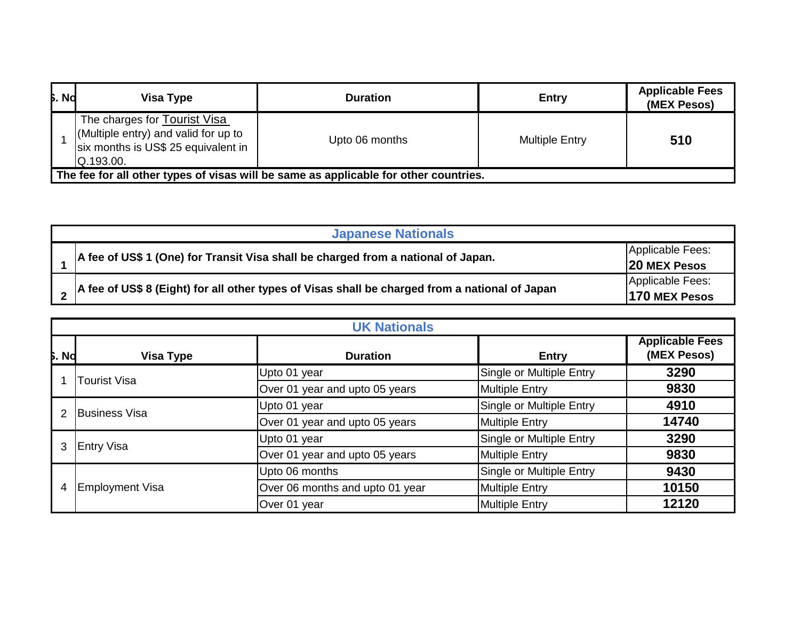| <b>b.</b> Nd | Visa Type                                                                                                                | <b>Duration</b> | <b>Entry</b>          | <b>Applicable Fees</b><br>(MEX Pesos) |  |  |
|--------------|--------------------------------------------------------------------------------------------------------------------------|-----------------|-----------------------|---------------------------------------|--|--|
|              | The charges for Tourist Visa<br>(Multiple entry) and valid for up to<br>six months is US\$ 25 equivalent in<br>Q.193.00. | Upto 06 months  | <b>Multiple Entry</b> | 510                                   |  |  |
|              | The fee for all other types of visas will be same as applicable for other countries.                                     |                 |                       |                                       |  |  |

| <b>Japanese Nationals</b>                                                                      |                                         |  |  |
|------------------------------------------------------------------------------------------------|-----------------------------------------|--|--|
| A fee of US\$ 1 (One) for Transit Visa shall be charged from a national of Japan.              | Applicable Fees:<br><b>20 MEX Pesos</b> |  |  |
| A fee of US\$ 8 (Eight) for all other types of Visas shall be charged from a national of Japan | Applicable Fees:<br>170 MEX Pesos       |  |  |

|              | <b>UK Nationals</b>    |                                 |                          |                                       |  |
|--------------|------------------------|---------------------------------|--------------------------|---------------------------------------|--|
| <b>S.</b> Nd | <b>Visa Type</b>       | <b>Duration</b>                 | <b>Entry</b>             | <b>Applicable Fees</b><br>(MEX Pesos) |  |
|              | <b>Tourist Visa</b>    | Upto 01 year                    | Single or Multiple Entry | 3290                                  |  |
|              |                        | Over 01 year and upto 05 years  | <b>Multiple Entry</b>    | 9830                                  |  |
|              | <b>Business Visa</b>   | Upto 01 year                    | Single or Multiple Entry | 4910                                  |  |
|              |                        | Over 01 year and upto 05 years  | <b>Multiple Entry</b>    | 14740                                 |  |
| 3            | <b>Entry Visa</b>      | Upto 01 year                    | Single or Multiple Entry | 3290                                  |  |
|              |                        | Over 01 year and upto 05 years  | <b>Multiple Entry</b>    | 9830                                  |  |
|              |                        | Upto 06 months                  | Single or Multiple Entry | 9430                                  |  |
| 4            | <b>Employment Visa</b> | Over 06 months and upto 01 year | <b>Multiple Entry</b>    | 10150                                 |  |
|              |                        | Over 01 year                    | <b>Multiple Entry</b>    | 12120                                 |  |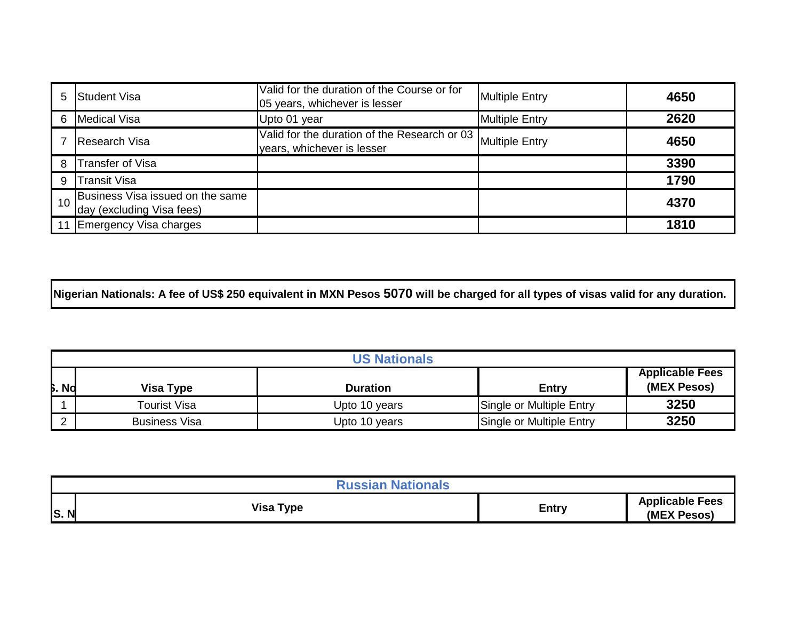| 5. | <b>S</b> tudent Visa                                          | Valid for the duration of the Course or for<br>05 years, whichever is lesser | <b>Multiple Entry</b> | 4650 |
|----|---------------------------------------------------------------|------------------------------------------------------------------------------|-----------------------|------|
| 6  | Medical Visa                                                  | Upto 01 year                                                                 | <b>Multiple Entry</b> | 2620 |
|    | Research Visa                                                 | Valid for the duration of the Research or 03<br>years, whichever is lesser   | <b>Multiple Entry</b> | 4650 |
| 8  | <b>Transfer of Visa</b>                                       |                                                                              |                       | 3390 |
| 9  | Transit Visa                                                  |                                                                              |                       | 1790 |
|    | Business Visa issued on the same<br>day (excluding Visa fees) |                                                                              |                       | 4370 |
|    | Emergency Visa charges                                        |                                                                              |                       | 1810 |

**Nigerian Nationals: A fee of US\$ 250 equivalent in MXN Pesos 5070 will be charged for all types of visas valid for any duration.**

|              | <b>US Nationals</b> |                 |                          |                                       |
|--------------|---------------------|-----------------|--------------------------|---------------------------------------|
| <b>b.</b> Nd | Visa Type           | <b>Duration</b> | Entry                    | <b>Applicable Fees</b><br>(MEX Pesos) |
|              | Tourist Visa        | Upto 10 years   | Single or Multiple Entry | 3250                                  |
|              | Business Visa       | Upto 10 years   | Single or Multiple Entry | 3250                                  |

| <b>Russian Nationals</b> |                  |              |                                       |
|--------------------------|------------------|--------------|---------------------------------------|
| S.N                      | <b>Visa Type</b> | <b>Entry</b> | <b>Applicable Fees</b><br>(MEX Pesos) |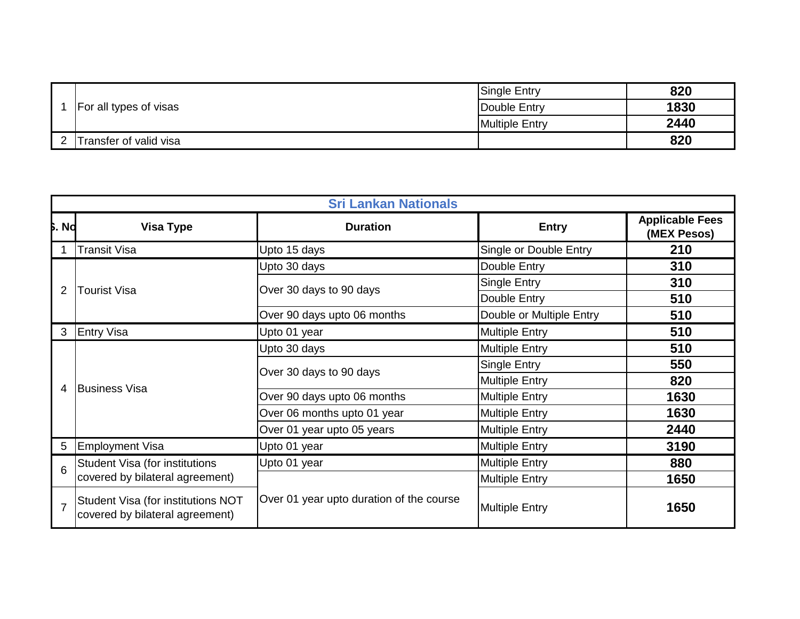|  | For all types of visas | <b>Single Entry</b>   | 820  |
|--|------------------------|-----------------------|------|
|  |                        | Double Entry          | 1830 |
|  |                        | <b>Multiple Entry</b> | 2440 |
|  | Transfer of valid visa |                       | 820  |

|                | <b>Sri Lankan Nationals</b>                                           |                                          |                          |                                       |
|----------------|-----------------------------------------------------------------------|------------------------------------------|--------------------------|---------------------------------------|
| <b>b.</b> Nd   | <b>Visa Type</b>                                                      | <b>Duration</b>                          | <b>Entry</b>             | <b>Applicable Fees</b><br>(MEX Pesos) |
|                | <b>Transit Visa</b>                                                   | Upto 15 days                             | Single or Double Entry   | 210                                   |
|                |                                                                       | Upto 30 days                             | Double Entry             | 310                                   |
| 2              | <b>Tourist Visa</b>                                                   | Over 30 days to 90 days                  | Single Entry             | 310                                   |
|                |                                                                       |                                          | Double Entry             | 510                                   |
|                |                                                                       | Over 90 days upto 06 months              | Double or Multiple Entry | 510                                   |
| 3              | <b>Entry Visa</b>                                                     | Upto 01 year                             | <b>Multiple Entry</b>    | 510                                   |
|                | <b>Business Visa</b>                                                  | Upto 30 days                             | <b>Multiple Entry</b>    | 510                                   |
|                |                                                                       | Over 30 days to 90 days                  | <b>Single Entry</b>      | 550                                   |
| 4              |                                                                       |                                          | <b>Multiple Entry</b>    | 820                                   |
|                |                                                                       | Over 90 days upto 06 months              | <b>Multiple Entry</b>    | 1630                                  |
|                |                                                                       | Over 06 months upto 01 year              | <b>Multiple Entry</b>    | 1630                                  |
|                |                                                                       | Over 01 year upto 05 years               | <b>Multiple Entry</b>    | 2440                                  |
| 5              | Employment Visa                                                       | Upto 01 year                             | <b>Multiple Entry</b>    | 3190                                  |
| 6              | Student Visa (for institutions                                        | Upto 01 year                             | <b>Multiple Entry</b>    | 880                                   |
|                | covered by bilateral agreement)                                       |                                          | <b>Multiple Entry</b>    | 1650                                  |
| $\overline{7}$ | Student Visa (for institutions NOT<br>covered by bilateral agreement) | Over 01 year upto duration of the course | <b>Multiple Entry</b>    | 1650                                  |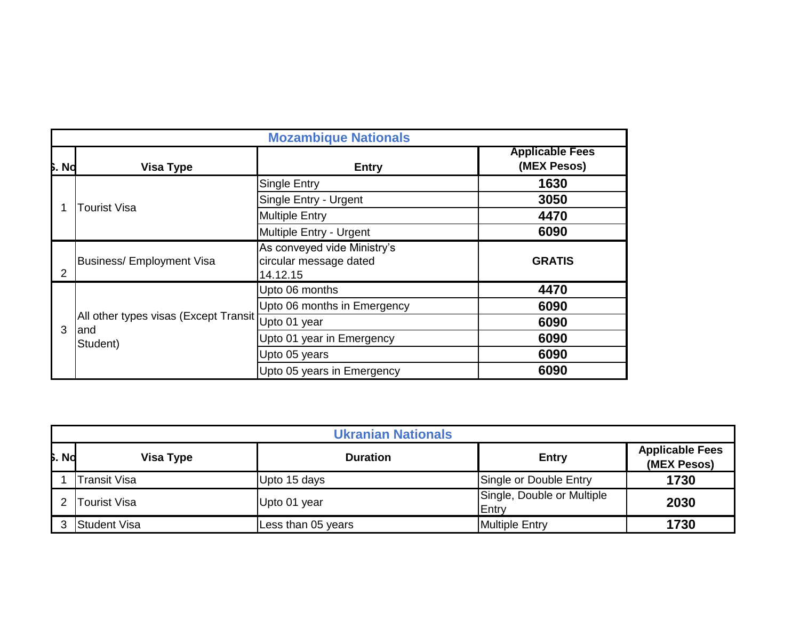|              |                                                    | <b>Mozambique Nationals</b>                                       |                                       |
|--------------|----------------------------------------------------|-------------------------------------------------------------------|---------------------------------------|
| <b>b.</b> Nd | <b>Visa Type</b>                                   | <b>Entry</b>                                                      | <b>Applicable Fees</b><br>(MEX Pesos) |
|              |                                                    | <b>Single Entry</b>                                               | 1630                                  |
|              | Tourist Visa                                       | Single Entry - Urgent                                             | 3050                                  |
|              |                                                    | <b>Multiple Entry</b>                                             | 4470                                  |
|              |                                                    | Multiple Entry - Urgent                                           | 6090                                  |
| 2            | <b>Business/ Employment Visa</b>                   | As conveyed vide Ministry's<br>circular message dated<br>14.12.15 | <b>GRATIS</b>                         |
|              |                                                    | Upto 06 months                                                    | 4470                                  |
|              |                                                    | Upto 06 months in Emergency                                       | 6090                                  |
| 3            | All other types visas (Except Transit Upto 01 year |                                                                   | 6090                                  |
|              | land<br>Student)                                   | Upto 01 year in Emergency                                         | 6090                                  |
|              |                                                    | Upto 05 years                                                     | 6090                                  |
|              |                                                    | Upto 05 years in Emergency                                        | 6090                                  |

|              | <b>Ukranian Nationals</b> |                    |                                     |                                       |  |
|--------------|---------------------------|--------------------|-------------------------------------|---------------------------------------|--|
| <b>b.</b> No | Visa Type                 | <b>Duration</b>    | <b>Entry</b>                        | <b>Applicable Fees</b><br>(MEX Pesos) |  |
|              | Transit Visa              | Upto 15 days       | Single or Double Entry              | 1730                                  |  |
|              | <b>Tourist Visa</b>       | Upto 01 year       | Single, Double or Multiple<br>Entry | 2030                                  |  |
|              | Student Visa              | Less than 05 years | <b>Multiple Entry</b>               | 1730                                  |  |